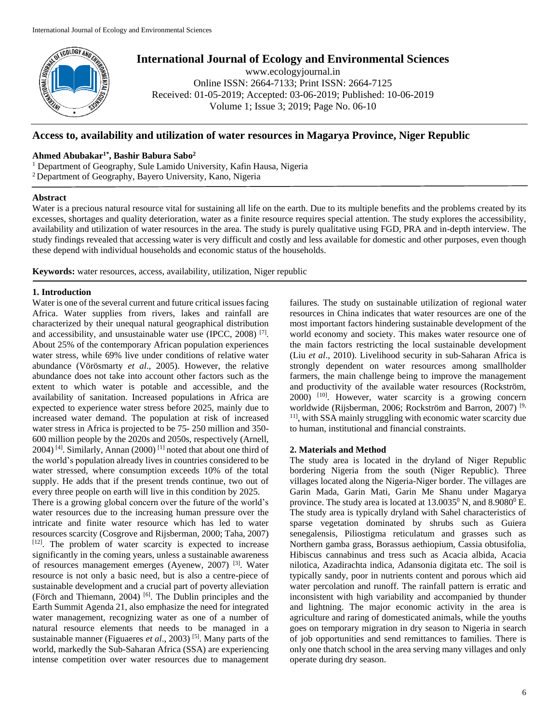

# **International Journal of Ecology and Environmental Sciences**

www.ecologyjournal.in Online ISSN: 2664-7133; Print ISSN: 2664-7125 Received: 01-05-2019; Accepted: 03-06-2019; Published: 10-06-2019 Volume 1; Issue 3; 2019; Page No. 06-10

# **Access to, availability and utilization of water resources in Magarya Province, Niger Republic**

# **Ahmed Abubakar1\*, Bashir Babura Sabo<sup>2</sup>**

<sup>1</sup> Department of Geography, Sule Lamido University, Kafin Hausa, Nigeria <sup>2</sup>Department of Geography, Bayero University, Kano, Nigeria

#### **Abstract**

Water is a precious natural resource vital for sustaining all life on the earth. Due to its multiple benefits and the problems created by its excesses, shortages and quality deterioration, water as a finite resource requires special attention. The study explores the accessibility, availability and utilization of water resources in the area. The study is purely qualitative using FGD, PRA and in-depth interview. The study findings revealed that accessing water is very difficult and costly and less available for domestic and other purposes, even though these depend with individual households and economic status of the households.

**Keywords:** water resources, access, availability, utilization, Niger republic

## **1. Introduction**

Water is one of the several current and future critical issues facing Africa. Water supplies from rivers, lakes and rainfall are characterized by their unequal natural geographical distribution and accessibility, and unsustainable water use (IPCC, 2008)<sup>[7]</sup>. About 25% of the contemporary African population experiences water stress, while 69% live under conditions of relative water abundance (Vörösmarty *et al*., 2005). However, the relative abundance does not take into account other factors such as the extent to which water is potable and accessible, and the availability of sanitation. Increased populations in Africa are expected to experience water stress before 2025, mainly due to increased water demand. The population at risk of increased water stress in Africa is projected to be 75- 250 million and 350- 600 million people by the 2020s and 2050s, respectively (Arnell,  $2004$ )<sup>[4]</sup>. Similarly, Annan (2000)<sup>[1]</sup> noted that about one third of the world's population already lives in countries considered to be water stressed, where consumption exceeds 10% of the total supply. He adds that if the present trends continue, two out of every three people on earth will live in this condition by 2025.

There is a growing global concern over the future of the world's water resources due to the increasing human pressure over the intricate and finite water resource which has led to water resources scarcity (Cosgrove and Rijsberman, 2000; Taha, 2007)  $[12]$ . The problem of water scarcity is expected to increase significantly in the coming years, unless a sustainable awareness of resources management emerges (Ayenew, 2007) [3]. Water resource is not only a basic need, but is also a centre-piece of sustainable development and a crucial part of poverty alleviation (Förch and Thiemann, 2004) [6]. The Dublin principles and the Earth Summit Agenda 21, also emphasize the need for integrated water management, recognizing water as one of a number of natural resource elements that needs to be managed in a sustainable manner (Figuaeres *et al.*, 2003)<sup>[5]</sup>. Many parts of the world, markedly the Sub-Saharan Africa (SSA) are experiencing intense competition over water resources due to management failures. The study on sustainable utilization of regional water resources in China indicates that water resources are one of the most important factors hindering sustainable development of the world economy and society. This makes water resource one of the main factors restricting the local sustainable development (Liu *et al*., 2010). Livelihood security in sub-Saharan Africa is strongly dependent on water resources among smallholder farmers, the main challenge being to improve the management and productivity of the available water resources (Rockström, 2000) [10]. However, water scarcity is a growing concern worldwide (Rijsberman, 2006; Rockström and Barron, 2007) [9, <sup>11]</sup>, with SSA mainly struggling with economic water scarcity due to human, institutional and financial constraints.

# **2. Materials and Method**

The study area is located in the dryland of Niger Republic bordering Nigeria from the south (Niger Republic). Three villages located along the Nigeria-Niger border. The villages are Garin Mada, Garin Mati, Garin Me Shanu under Magarya province. The study area is located at  $13.0035^0$  N, and  $8.9080^0$  E. The study area is typically dryland with Sahel characteristics of sparse vegetation dominated by shrubs such as Guiera senegalensis, Piliostigma reticulatum and grasses such as Northern gamba grass, Borassus aethiopium, Cassia obtusifolia, Hibiscus cannabinus and tress such as Acacia albida, Acacia nilotica, Azadirachta indica, Adansonia digitata etc. The soil is typically sandy, poor in nutrients content and porous which aid water percolation and runoff. The rainfall pattern is erratic and inconsistent with high variability and accompanied by thunder and lightning. The major economic activity in the area is agriculture and raring of domesticated animals, while the youths goes on temporary migration in dry season to Nigeria in search of job opportunities and send remittances to families. There is only one thatch school in the area serving many villages and only operate during dry season.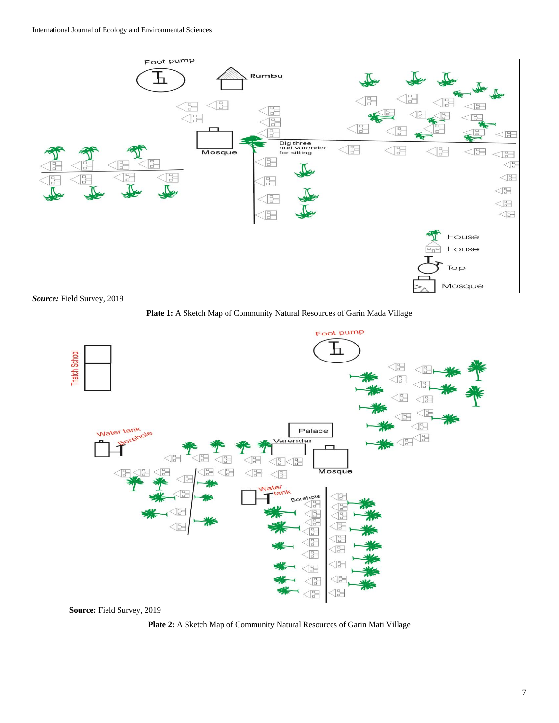

*Source:* Field Survey, 2019





**Source:** Field Survey, 2019

**Plate 2:** A Sketch Map of Community Natural Resources of Garin Mati Village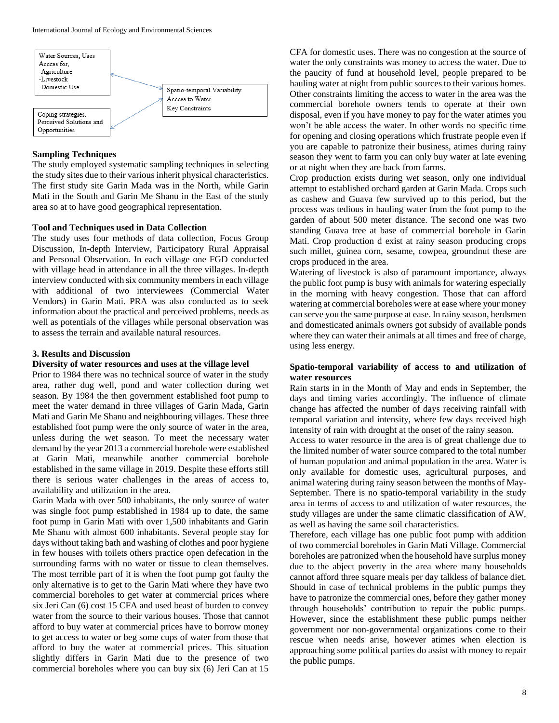

#### **Sampling Techniques**

The study employed systematic sampling techniques in selecting the study sites due to their various inherit physical characteristics. The first study site Garin Mada was in the North, while Garin Mati in the South and Garin Me Shanu in the East of the study area so at to have good geographical representation.

#### **Tool and Techniques used in Data Collection**

The study uses four methods of data collection, Focus Group Discussion, In-depth Interview, Participatory Rural Appraisal and Personal Observation. In each village one FGD conducted with village head in attendance in all the three villages. In-depth interview conducted with six community members in each village with additional of two interviewees (Commercial Water Vendors) in Garin Mati. PRA was also conducted as to seek information about the practical and perceived problems, needs as well as potentials of the villages while personal observation was to assess the terrain and available natural resources.

#### **3. Results and Discussion**

#### **Diversity of water resources and uses at the village level**

Prior to 1984 there was no technical source of water in the study area, rather dug well, pond and water collection during wet season. By 1984 the then government established foot pump to meet the water demand in three villages of Garin Mada, Garin Mati and Garin Me Shanu and neighbouring villages. These three established foot pump were the only source of water in the area, unless during the wet season. To meet the necessary water demand by the year 2013 a commercial borehole were established at Garin Mati, meanwhile another commercial borehole established in the same village in 2019. Despite these efforts still there is serious water challenges in the areas of access to, availability and utilization in the area.

Garin Mada with over 500 inhabitants, the only source of water was single foot pump established in 1984 up to date, the same foot pump in Garin Mati with over 1,500 inhabitants and Garin Me Shanu with almost 600 inhabitants. Several people stay for days without taking bath and washing of clothes and poor hygiene in few houses with toilets others practice open defecation in the surrounding farms with no water or tissue to clean themselves. The most terrible part of it is when the foot pump got faulty the only alternative is to get to the Garin Mati where they have two commercial boreholes to get water at commercial prices where six Jeri Can (6) cost 15 CFA and used beast of burden to convey water from the source to their various houses. Those that cannot afford to buy water at commercial prices have to borrow money to get access to water or beg some cups of water from those that afford to buy the water at commercial prices. This situation slightly differs in Garin Mati due to the presence of two commercial boreholes where you can buy six (6) Jeri Can at 15

CFA for domestic uses. There was no congestion at the source of water the only constraints was money to access the water. Due to the paucity of fund at household level, people prepared to be hauling water at night from public sources to their various homes. Other constraints limiting the access to water in the area was the commercial borehole owners tends to operate at their own disposal, even if you have money to pay for the water atimes you won't be able access the water. In other words no specific time for opening and closing operations which frustrate people even if you are capable to patronize their business, atimes during rainy season they went to farm you can only buy water at late evening or at night when they are back from farms.

Crop production exists during wet season, only one individual attempt to established orchard garden at Garin Mada. Crops such as cashew and Guava few survived up to this period, but the process was tedious in hauling water from the foot pump to the garden of about 500 meter distance. The second one was two standing Guava tree at base of commercial borehole in Garin Mati. Crop production d exist at rainy season producing crops such millet, guinea corn, sesame, cowpea, groundnut these are crops produced in the area.

Watering of livestock is also of paramount importance, always the public foot pump is busy with animals for watering especially in the morning with heavy congestion. Those that can afford watering at commercial boreholes were at ease where your money can serve you the same purpose at ease. In rainy season, herdsmen and domesticated animals owners got subsidy of available ponds where they can water their animals at all times and free of charge, using less energy.

## **Spatio-temporal variability of access to and utilization of water resources**

Rain starts in in the Month of May and ends in September, the days and timing varies accordingly. The influence of climate change has affected the number of days receiving rainfall with temporal variation and intensity, where few days received high intensity of rain with drought at the onset of the rainy season.

Access to water resource in the area is of great challenge due to the limited number of water source compared to the total number of human population and animal population in the area. Water is only available for domestic uses, agricultural purposes, and animal watering during rainy season between the months of May-September. There is no spatio-temporal variability in the study area in terms of access to and utilization of water resources, the study villages are under the same climatic classification of AW, as well as having the same soil characteristics.

Therefore, each village has one public foot pump with addition of two commercial boreholes in Garin Mati Village. Commercial boreholes are patronized when the household have surplus money due to the abject poverty in the area where many households cannot afford three square meals per day talkless of balance diet. Should in case of technical problems in the public pumps they have to patronize the commercial ones, before they gather money through households' contribution to repair the public pumps. However, since the establishment these public pumps neither government nor non-governmental organizations come to their rescue when needs arise, however atimes when election is approaching some political parties do assist with money to repair the public pumps.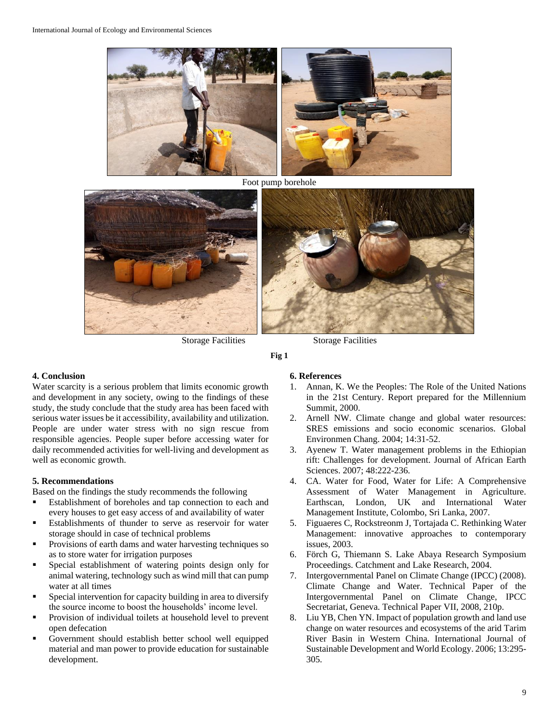

Foot pump borehole





Storage Facilities Storage Facilities

**Fig 1**

# **4. Conclusion**

Water scarcity is a serious problem that limits economic growth and development in any society, owing to the findings of these study, the study conclude that the study area has been faced with serious water issues be it accessibility, availability and utilization. People are under water stress with no sign rescue from responsible agencies. People super before accessing water for daily recommended activities for well-living and development as well as economic growth.

## **5. Recommendations**

Based on the findings the study recommends the following

- Establishment of boreholes and tap connection to each and every houses to get easy access of and availability of water
- Establishments of thunder to serve as reservoir for water storage should in case of technical problems
- Provisions of earth dams and water harvesting techniques so as to store water for irrigation purposes
- Special establishment of watering points design only for animal watering, technology such as wind mill that can pump water at all times
- Special intervention for capacity building in area to diversify the source income to boost the households' income level.
- Provision of individual toilets at household level to prevent open defecation
- Government should establish better school well equipped material and man power to provide education for sustainable development.

#### **6. References**

- 1. Annan, K. We the Peoples: The Role of the United Nations in the 21st Century. Report prepared for the Millennium Summit, 2000.
- 2. Arnell NW. Climate change and global water resources: SRES emissions and socio economic scenarios. Global Environmen Chang. 2004; 14:31-52.
- 3. Ayenew T. Water management problems in the Ethiopian rift: Challenges for development. Journal of African Earth Sciences. 2007; 48:222-236.
- 4. CA. Water for Food, Water for Life: A Comprehensive Assessment of Water Management in Agriculture. Earthscan, London, UK and International Water Management Institute, Colombo, Sri Lanka, 2007.
- 5. Figuaeres C, Rockstreonm J, Tortajada C. Rethinking Water Management: innovative approaches to contemporary issues, 2003.
- 6. Förch G, Thiemann S. Lake Abaya Research Symposium Proceedings. Catchment and Lake Research, 2004.
- 7. Intergovernmental Panel on Climate Change (IPCC) (2008). Climate Change and Water. Technical Paper of the Intergovernmental Panel on Climate Change, IPCC Secretariat, Geneva. Technical Paper VII, 2008, 210p.
- 8. Liu YB, Chen YN. Impact of population growth and land use change on water resources and ecosystems of the arid Tarim River Basin in Western China. International Journal of Sustainable Development and World Ecology. 2006; 13:295- 305.